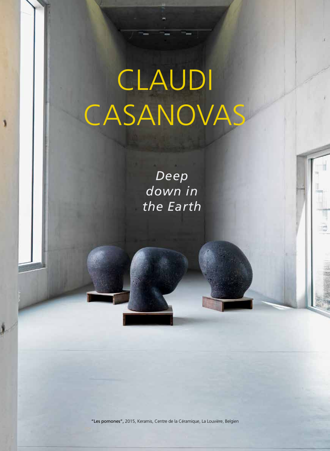## CLAUDI CASANOVAS

PROFILE

*Deep down in the Earth*

"Les pomones", 2015, Keramis, Centre de la Céramique, La Louvière, Belgien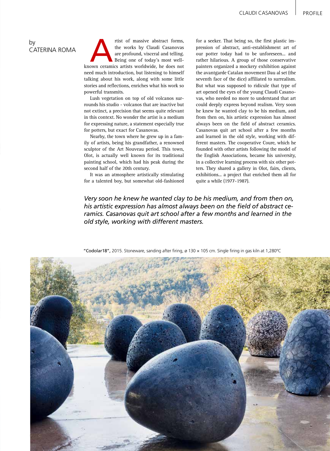## by CATERINA ROMA

The works by Claudi Casanovas<br>
are profound, visceral and telling.<br>
Being one of today's most well-<br>
known ceramics artists worldwide, he does not the works by Claudi Casanovas are profound, visceral and telling. Being one of today's most wellneed much introduction, but listening to himself talking about his work, along with some little stories and reflections, enriches what his work so powerful transmits.

Lush vegetation on top of old volcanos surrounds his studio - volcanos that are inactive but not extinct, a precision that seems quite relevant in this context. No wonder the artist is a medium for expressing nature, a statement especially true for potters, but exact for Casanovas.

Nearby, the town where he grew up in a family of artists, being his grandfather, a renowned sculptor of the Art Nouveau period. This town, Olot, is actually well known for its traditional painting school, which had his peak during the second half of the 20th century.

It was an atmosphere artistically stimulating for a talented boy, but somewhat old-fashioned

for a seeker. That being so, the first plastic impression of abstract, anti-establishment art of our potter today had to be unforeseen... and rather hilarious. A group of those conservative painters organized a mockery exhibition against the avantgarde Catalan movement Dau al set (the seventh face of the dice) affiliated to surrealism. But what was supposed to ridicule that type of art opened the eyes of the young Claudi Casanovas, who needed no more to understand that art could deeply express beyond realism. Very soon he knew he wanted clay to be his medium, and from then on, his artistic expression has almost always been on the field of abstract ceramics. Casanovas quit art school after a few months and learned in the old style, working with different masters. The cooperative Coure, which he founded with other artists following the model of the English Associations, became his university, in a collective learning process with six other potters. They shared a gallery in Olot, fairs, clients, exhibitions... a project that enriched them all for quite a while (1977-1987).

*Very soon he knew he wanted clay to be his medium, and from then on, his artistic expression has almost always been on the field of abstract ceramics. Casanovas quit art school after a few months and learned in the old style, working with different masters.*



"Codolar18", 2015. Stoneware, sanding after firing, ø 130 × 105 cm. Single firing in gas kiln at 1,280ºC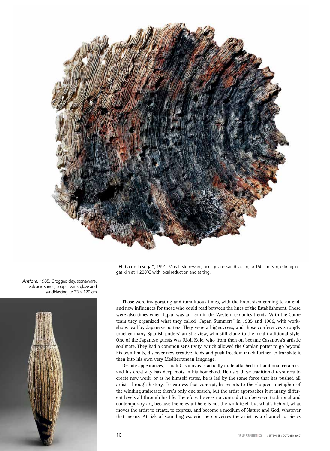

"El dia de la sega", 1991. Mural. Stoneware, neriage and sandblasting, ø 150 cm. Single firing in gas kiln at 1,280ºC with local reduction and salting.

Those were invigorating and tumultuous times, with the Francoism coming to an end, and new influences for those who could read between the lines of the Establishment. Those were also times when Japan was an icon in the Western ceramics trends. With the Coure team they organized what they called "Japan Summers" in 1985 and 1986, with workshops lead by Japanese potters. They were a big success, and those conferences strongly touched many Spanish potters' artistic view, who still clung to the local traditional style. One of the Japanese guests was Rioji Koie, who from then on became Casanova's artistic soulmate. They had a common sensitivity, which allowed the Catalan potter to go beyond his own limits, discover new creative fields and push freedom much further, to translate it then into his own very Mediterranean language.

Despite appearances, Claudi Casanovas is actually quite attached to traditional ceramics, and his creativity has deep roots in his homeland. He uses these traditional resources to create new work, or as he himself states, he is led by the same force that has pushed all artists through history. To express that concept, he resorts to the eloquent metaphor of the winding staircase: there's only one search, but the artist approaches it at many different levels all through his life. Therefore, he sees no contradiction between traditional and contemporary art, because the relevant here is not the work itself but what's behind, what moves the artist to create, to express, and become a medium of Nature and God, whatever that means. At risk of sounding esoteric, he conceives the artist as a channel to pieces

*Àmfora,* 1985. Grogged clay, stoneware, volcanic sands, copper wire, glaze and sandblasting.  $\varnothing$  33  $\times$  120 cm

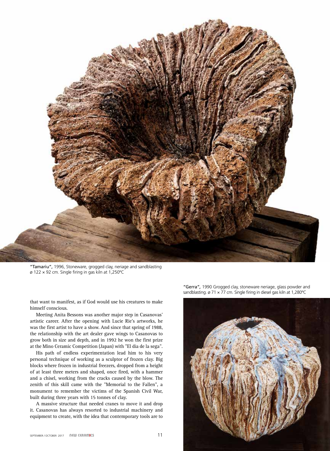

"Tamariu", 1996, Stoneware, grogged clay, neriage and sandblasting ø 122 × 92 cm. Single firing in gas kiln at 1,250ºC

that want to manifest, as if God would use his creatures to make himself conscious.

Meeting Anita Bessons was another major step in Casanovas' artistic career. After the opening with Lucie Rie's artworks, he was the first artist to have a show. And since that spring of 1988, the relationship with the art dealer gave wings to Casanovas to grow both in size and depth, and in 1992 he won the first prize at the Mino Ceramic Competition (Japan) with "El dia de la sega".

His path of endless experimentation lead him to his very personal technique of working as a sculptor of frozen clay. Big blocks where frozen in industrial freezers, dropped from a height of at least three meters and shaped, once fired, with a hammer and a chisel, working from the cracks caused by the blow. The zenith of this skill came with the "Memorial to the Fallen", a monument to remember the victims of the Spanish Civil War, built during three years with 15 tonnes of clay.

A massive structure that needed cranes to move it and drop it. Casanovas has always resorted to industrial machinery and equipment to create, with the idea that contemporary tools are to

"Gerra"*,* 1990 Grogged clay, stoneware neriage, glass powder and sandblasting. ø 71 × 77 cm. Single firing in diesel gas kiln at 1,280°C